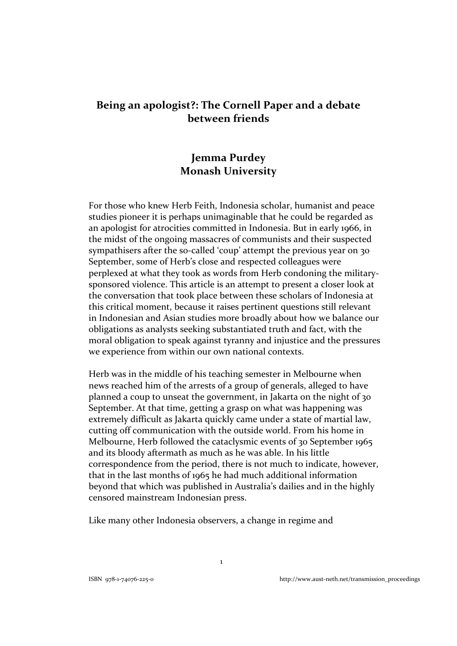# **Being an apologist?: The Cornell Paper and a debate between friends**

# **Jemma Purdey Monash University**

For those who knew Herb Feith, Indonesia scholar, humanist and peace studies pioneer it is perhaps unimaginable that he could be regarded as an apologist for atrocities committed in Indonesia. But in early 1966, in the midst of the ongoing massacres of communists and their suspected sympathisers after the so-called 'coup' attempt the previous year on 30 September, some of Herb's close and respected colleagues were perplexed at what they took as words from Herb condoning the military‐ sponsored violence. This article is an attempt to present a closer look at the conversation that took place between these scholars of Indonesia at this critical moment, because it raises pertinent questions still relevant in Indonesian and Asian studies more broadly about how we balance our obligations as analysts seeking substantiated truth and fact, with the moral obligation to speak against tyranny and injustice and the pressures we experience from within our own national contexts.

Herb was in the middle of his teaching semester in Melbourne when news reached him of the arrests of a group of generals, alleged to have planned a coup to unseat the government, in Jakarta on the night of 30 September. At that time, getting a grasp on what was happening was extremely difficult as Jakarta quickly came under a state of martial law, cutting off communication with the outside world. From his home in Melbourne, Herb followed the cataclysmic events of 30 September 1965 and its bloody aftermath as much as he was able. In his little correspondence from the period, there is not much to indicate, however, that in the last months of 1965 he had much additional information beyond that which was published in Australia's dailies and in the highly censored mainstream Indonesian press.

Like many other Indonesia observers, a change in regime and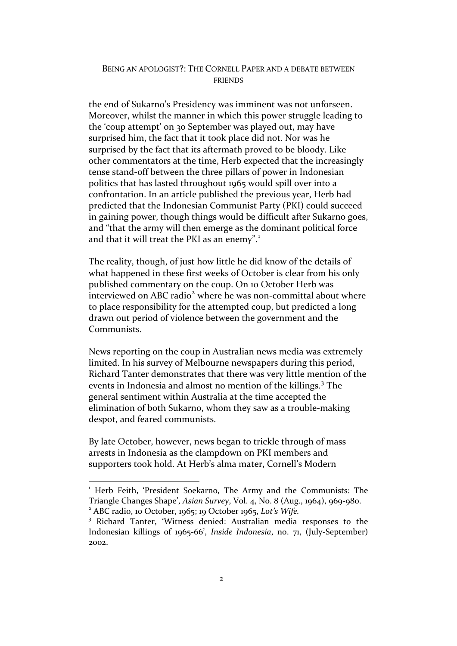the end of Sukarno's Presidency was imminent was not unforseen. Moreover, whilst the manner in which this power struggle leading to the 'coup attempt' on 30 September was played out, may have surprised him, the fact that it took place did not. Nor was he surprised by the fact that its aftermath proved to be bloody. Like other commentators at the time, Herb expected that the increasingly tense stand‐off between the three pillars of power in Indonesian politics that has lasted throughout 1965 would spill over into a confrontation. In an article published the previous year, Herb had predicted that the Indonesian Communist Party (PKI) could succeed in gaining power, though things would be difficult after Sukarno goes, and "that the army will then emerge as the dominant political force and that it will treat the PKI as an enemy".<sup>[1](#page-1-0)</sup>

The reality, though, of just how little he did know of the details of what happened in these first weeks of October is clear from his only published commentary on the coup. On 10 October Herb was interviewed on ABC radio<sup>[2](#page-1-1)</sup> where he was non-committal about where to place responsibility for the attempted coup, but predicted a long drawn out period of violence between the government and the Communists.

News reporting on the coup in Australian news media was extremely limited. In his survey of Melbourne newspapers during this period, Richard Tanter demonstrates that there was very little mention of the events in Indonesia and almost no mention of the killings.<sup>[3](#page-1-2)</sup> The general sentiment within Australia at the time accepted the elimination of both Sukarno, whom they saw as a trouble‐making despot, and feared communists.

By late October, however, news began to trickle through of mass arrests in Indonesia as the clampdown on PKI members and supporters took hold. At Herb's alma mater, Cornell's Modern

<span id="page-1-0"></span><sup>&</sup>lt;sup>1</sup> Herb Feith, 'President Soekarno, The Army and the Communists: The Triangle Changes Shape', *Asian Survey*, Vol. 4, No. 8 (Aug., 1964), 969‐980. <sup>2</sup> ABC radio, 10 October, 1965; 19 October 1965, *Lot's Wife.*

<span id="page-1-1"></span>

<span id="page-1-2"></span><sup>3</sup> Richard Tanter, 'Witness denied: Australian media responses to the Indonesian killings of 1965‐66', *Inside Indonesia*, no. 71, (July‐September) 2002.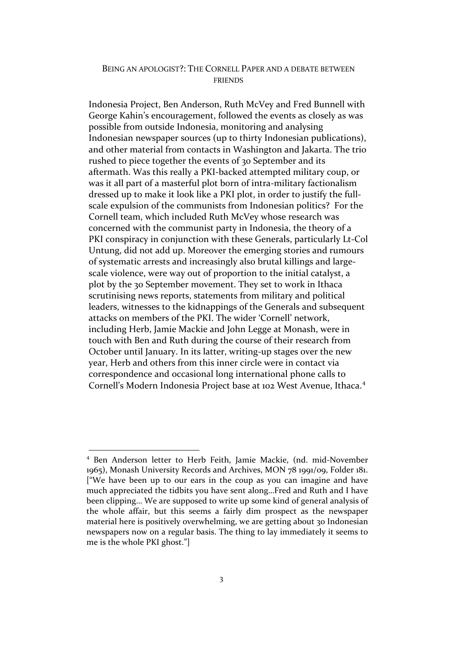Indonesia Project, Ben Anderson, Ruth McVey and Fred Bunnell with George Kahin's encouragement, followed the events as closely as was possible from outside Indonesia, monitoring and analysing Indonesian newspaper sources (up to thirty Indonesian publications), and other material from contacts in Washington and Jakarta. The trio rushed to piece together the events of 30 September and its aftermath. Was this really a PKI‐backed attempted military coup, or was it all part of a masterful plot born of intra-military factionalism dressed up to make it look like a PKI plot, in order to justify the full‐ scale expulsion of the communists from Indonesian politics? For the Cornell team, which included Ruth McVey whose research was concerned with the communist party in Indonesia, the theory of a PKI conspiracy in conjunction with these Generals, particularly Lt‐Col Untung, did not add up. Moreover the emerging stories and rumours of systematic arrests and increasingly also brutal killings and large‐ scale violence, were way out of proportion to the initial catalyst, a plot by the 30 September movement. They set to work in Ithaca scrutinising news reports, statements from military and political leaders, witnesses to the kidnappings of the Generals and subsequent attacks on members of the PKI. The wider 'Cornell' network, including Herb, Jamie Mackie and John Legge at Monash, were in touch with Ben and Ruth during the course of their research from October until January. In its latter, writing‐up stages over the new year, Herb and others from this inner circle were in contact via correspondence and occasional long international phone calls to Cornell's Modern Indonesia Project base at 102 West Avenue, Ithaca.<sup>[4](#page-2-0)</sup>

<span id="page-2-0"></span><sup>4</sup> Ben Anderson letter to Herb Feith, Jamie Mackie, (nd. mid‐November 1965), Monash University Records and Archives, MON 78 1991/09, Folder 181. ["We have been up to our ears in the coup as you can imagine and have much appreciated the tidbits you have sent along…Fred and Ruth and I have been clipping… We are supposed to write up some kind of general analysis of the whole affair, but this seems a fairly dim prospect as the newspaper material here is positively overwhelming, we are getting about 30 Indonesian newspapers now on a regular basis. The thing to lay immediately it seems to me is the whole PKI ghost."]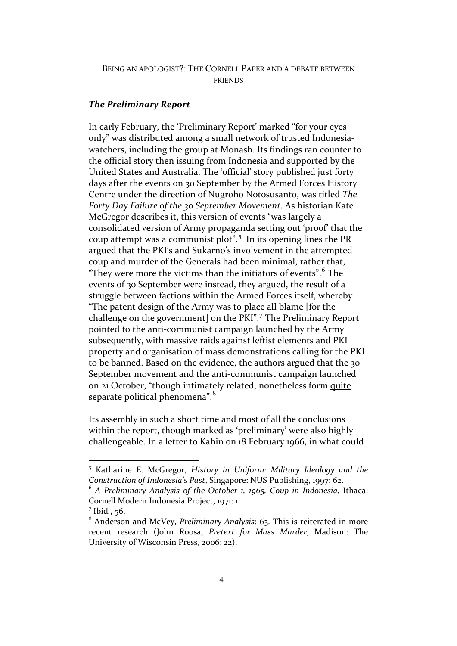#### *The Preliminary Report*

In early February, the 'Preliminary Report' marked "for your eyes only" was distributed among a small network of trusted Indonesia‐ watchers, including the group at Monash. Its findings ran counter to the official story then issuing from Indonesia and supported by the United States and Australia. The 'official' story published just forty days after the events on 30 September by the Armed Forces History Centre under the direction of Nugroho Notosusanto, was titled *The Forty Day Failure of the 30 September Movement*. As historian Kate McGregor describes it, this version of events "was largely a consolidated version of Army propaganda setting out 'proof' that the coup attempt was a communist plot".<sup>[5](#page-3-0)</sup> In its opening lines the PR argued that the PKI's and Sukarno's involvement in the attempted coup and murder of the Generals had been minimal, rather that, "They were more the victims than the initiators of events".  $6$  The events of 30 September were instead, they argued, the result of a struggle between factions within the Armed Forces itself, whereby "The patent design of the Army was to place all blame [for the challenge on the government] on the PKI".[7](#page-3-2) The Preliminary Report pointed to the anti‐communist campaign launched by the Army subsequently, with massive raids against leftist elements and PKI property and organisation of mass demonstrations calling for the PKI to be banned. Based on the evidence, the authors argued that the 30 September movement and the anti-communist campaign launched on 21 October, "though intimately related, nonetheless form quite separate political phenomena".<sup>[8](#page-3-3)</sup>

Its assembly in such a short time and most of all the conclusions within the report, though marked as 'preliminary' were also highly challengeable. In a letter to Kahin on 18 February 1966, in what could

<span id="page-3-0"></span><sup>5</sup> Katharine E. McGregor, *History in Uniform: Military Ideology and the Construction of Indonesia's Past*, Singapore: NUS Publishing, 1997: 62.

<span id="page-3-1"></span><sup>6</sup> *A Preliminary Analysis of the October 1, 1965, Coup in Indonesia*, Ithaca: Cornell Modern Indonesia Project, 1971: 1.

<span id="page-3-2"></span><sup>7</sup> Ibid*.*, 56.

<span id="page-3-3"></span><sup>8</sup> Anderson and McVey, *Preliminary Analysis*: 63. This is reiterated in more recent research (John Roosa, *Pretext for Mass Murder*, Madison: The University of Wisconsin Press, 2006: 22).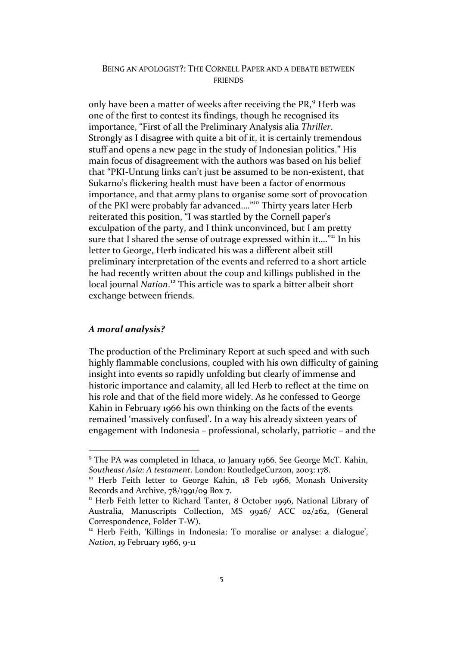only have been a matter of weeks after receiving the PR,<sup>[9](#page-4-0)</sup> Herb was one of the first to contest its findings, though he recognised its importance, "First of all the Preliminary Analysis alia *Thriller*. Strongly as I disagree with quite a bit of it, it is certainly tremendous stuff and opens a new page in the study of Indonesian politics." His main focus of disagreement with the authors was based on his belief that "PKI‐Untung links can't just be assumed to be non‐existent, that Sukarno's flickering health must have been a factor of enormous importance, and that army plans to organise some sort of provocation of the PKI were probably far advanced…."[10](#page-4-1) Thirty years later Herb reiterated this position, "I was startled by the Cornell paper's exculpation of the party, and I think unconvinced, but I am pretty sure that I shared the sense of outrage expressed within it...."<sup>[11](#page-4-2)</sup> In his letter to George, Herb indicated his was a different albeit still preliminary interpretation of the events and referred to a short article he had recently written about the coup and killings published in the local journal *Nation*. [12](#page-4-3) This article was to spark a bitter albeit short exchange between friends.

#### *A moral analysis?*

 $\overline{a}$ 

The production of the Preliminary Report at such speed and with such highly flammable conclusions, coupled with his own difficulty of gaining insight into events so rapidly unfolding but clearly of immense and historic importance and calamity, all led Herb to reflect at the time on his role and that of the field more widely. As he confessed to George Kahin in February 1966 his own thinking on the facts of the events remained 'massively confused'. In a way his already sixteen years of engagement with Indonesia – professional, scholarly, patriotic – and the

<span id="page-4-0"></span><sup>&</sup>lt;sup>9</sup> The PA was completed in Ithaca, 10 January 1966. See George McT. Kahin, *Southeast Asia: A testament*. London: RoutledgeCurzon, 2003: 178.

<span id="page-4-1"></span><sup>&</sup>lt;sup>10</sup> Herb Feith letter to George Kahin, 18 Feb 1966, Monash University Records and Archive, 78/1991/09 Box 7.

<span id="page-4-2"></span><sup>&</sup>lt;sup>11</sup> Herb Feith letter to Richard Tanter, 8 October 1996, National Library of Australia, Manuscripts Collection, MS 9926/ ACC 02/262, (General Correspondence, Folder T‐W).

<span id="page-4-3"></span><sup>&</sup>lt;sup>12</sup> Herb Feith, 'Killings in Indonesia: To moralise or analyse: a dialogue', *Nation*, 19 February 1966, 9-11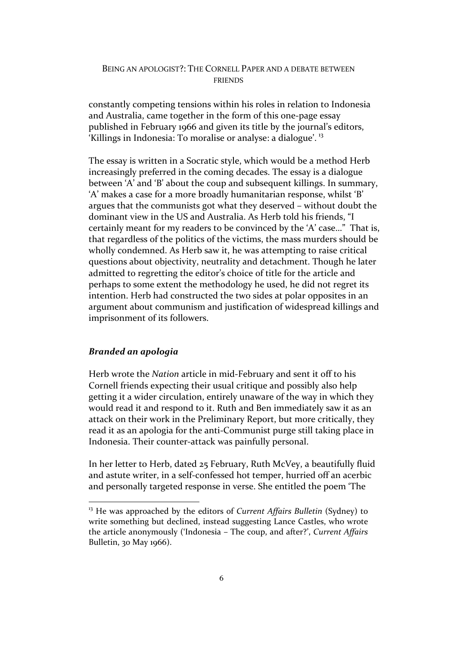constantly competing tensions within his roles in relation to Indonesia and Australia, came together in the form of this one‐page essay published in February 1966 and given its title by the journal's editors, 'Killings in Indonesia: To moralise or analyse: a dialogue'. [13](#page-5-0)

The essay is written in a Socratic style, which would be a method Herb increasingly preferred in the coming decades. The essay is a dialogue between 'A' and 'B' about the coup and subsequent killings. In summary, 'A' makes a case for a more broadly humanitarian response, whilst 'B' argues that the communists got what they deserved – without doubt the dominant view in the US and Australia. As Herb told his friends, "I certainly meant for my readers to be convinced by the 'A' case…" That is, that regardless of the politics of the victims, the mass murders should be wholly condemned. As Herb saw it, he was attempting to raise critical questions about objectivity, neutrality and detachment. Though he later admitted to regretting the editor's choice of title for the article and perhaps to some extent the methodology he used, he did not regret its intention. Herb had constructed the two sides at polar opposites in an argument about communism and justification of widespread killings and imprisonment of its followers.

# *Branded an apologia*

 $\overline{a}$ 

Herb wrote the *Nation* article in mid‐February and sent it off to his Cornell friends expecting their usual critique and possibly also help getting it a wider circulation, entirely unaware of the way in which they would read it and respond to it. Ruth and Ben immediately saw it as an attack on their work in the Preliminary Report, but more critically, they read it as an apologia for the anti‐Communist purge still taking place in Indonesia. Their counter‐attack was painfully personal.

In her letter to Herb, dated 25 February, Ruth McVey, a beautifully fluid and astute writer, in a self‐confessed hot temper, hurried off an acerbic and personally targeted response in verse. She entitled the poem 'The

<span id="page-5-0"></span><sup>13</sup> He was approached by the editors of *Current Affairs Bulletin* (Sydney) to write something but declined, instead suggesting Lance Castles, who wrote the article anonymously ('Indonesia – The coup, and after?', *Current Affairs* Bulletin, 30 May 1966).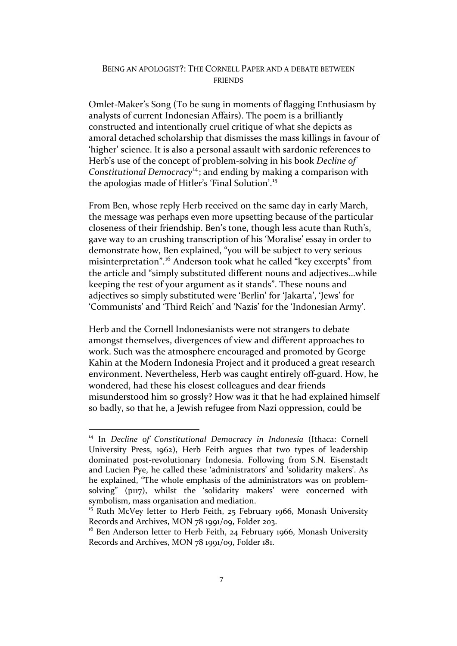Omlet‐Maker's Song (To be sung in moments of flagging Enthusiasm by analysts of current Indonesian Affairs). The poem is a brilliantly constructed and intentionally cruel critique of what she depicts as amoral detached scholarship that dismisses the mass killings in favour of 'higher' science. It is also a personal assault with sardonic references to Herb's use of the concept of problem‐solving in his book *Decline of Constitutional Democracy*[14](#page-6-0); and ending by making a comparison with the apologias made of Hitler's 'Final Solution'.[15](#page-6-1)

From Ben, whose reply Herb received on the same day in early March, the message was perhaps even more upsetting because of the particular closeness of their friendship. Ben's tone, though less acute than Ruth's, gave way to an crushing transcription of his 'Moralise' essay in order to demonstrate how, Ben explained, "you will be subject to very serious misinterpretation".<sup>[16](#page-6-2)</sup> Anderson took what he called "key excerpts" from the article and "simply substituted different nouns and adjectives…while keeping the rest of your argument as it stands". These nouns and adjectives so simply substituted were 'Berlin' for 'Jakarta', 'Jews' for 'Communists' and 'Third Reich' and 'Nazis' for the 'Indonesian Army'.

Herb and the Cornell Indonesianists were not strangers to debate amongst themselves, divergences of view and different approaches to work. Such was the atmosphere encouraged and promoted by George Kahin at the Modern Indonesia Project and it produced a great research environment. Nevertheless, Herb was caught entirely off‐guard. How, he wondered, had these his closest colleagues and dear friends misunderstood him so grossly? How was it that he had explained himself so badly, so that he, a Jewish refugee from Nazi oppression, could be

<span id="page-6-0"></span><sup>14</sup> In *Decline of Constitutional Democracy in Indonesia* (Ithaca: Cornell University Press, 1962), Herb Feith argues that two types of leadership dominated post‐revolutionary Indonesia. Following from S.N. Eisenstadt and Lucien Pye, he called these 'administrators' and 'solidarity makers'. As he explained, "The whole emphasis of the administrators was on problem‐ solving" (p117), whilst the 'solidarity makers' were concerned with symbolism, mass organisation and mediation.

<span id="page-6-1"></span><sup>&</sup>lt;sup>15</sup> Ruth McVey letter to Herb Feith, 25 February 1966, Monash University Records and Archives, MON 78 1991/09, Folder 203.

<span id="page-6-2"></span><sup>&</sup>lt;sup>16</sup> Ben Anderson letter to Herb Feith, 24 February 1966, Monash University Records and Archives, MON 78 1991/09, Folder 181.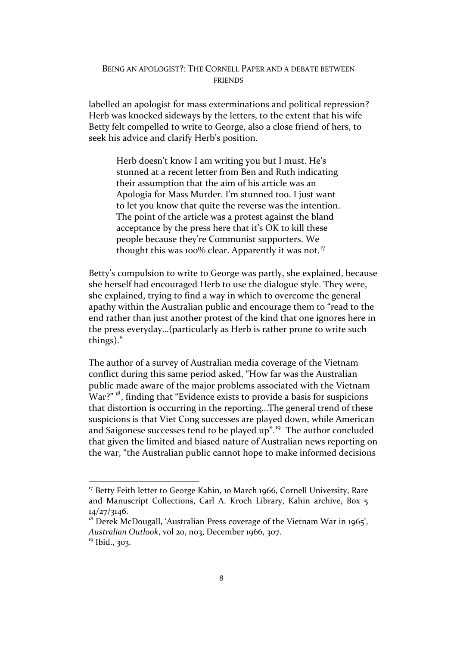labelled an apologist for mass exterminations and political repression? Herb was knocked sideways by the letters, to the extent that his wife Betty felt compelled to write to George, also a close friend of hers, to seek his advice and clarify Herb's position.

Herb doesn't know I am writing you but I must. He's stunned at a recent letter from Ben and Ruth indicating their assumption that the aim of his article was an Apologia for Mass Murder. I'm stunned too. I just want to let you know that quite the reverse was the intention. The point of the article was a protest against the bland acceptance by the press here that it's OK to kill these people because they're Communist supporters. We thought this was 100% clear. Apparently it was not.<sup>[17](#page-7-0)</sup>

Betty's compulsion to write to George was partly, she explained, because she herself had encouraged Herb to use the dialogue style. They were, she explained, trying to find a way in which to overcome the general apathy within the Australian public and encourage them to "read to the end rather than just another protest of the kind that one ignores here in the press everyday…(particularly as Herb is rather prone to write such things)."

The author of a survey of Australian media coverage of the Vietnam conflict during this same period asked, "How far was the Australian public made aware of the major problems associated with the Vietnam War?"<sup>[18](#page-7-1)</sup>, finding that "Evidence exists to provide a basis for suspicions" that distortion is occurring in the reporting…The general trend of these suspicions is that Viet Cong successes are played down, while American and Saigonese successes tend to be played up".<sup>[19](#page-7-2)</sup> The author concluded that given the limited and biased nature of Australian news reporting on the war, "the Australian public cannot hope to make informed decisions

<span id="page-7-0"></span><sup>&</sup>lt;sup>17</sup> Betty Feith letter to George Kahin, 10 March 1966, Cornell University, Rare and Manuscript Collections, Carl A. Kroch Library, Kahin archive, Box 5 14/27/3146.

<span id="page-7-2"></span><span id="page-7-1"></span><sup>&</sup>lt;sup>18</sup> Derek McDougall, 'Australian Press coverage of the Vietnam War in 1965', *Australian Outlook*, vol 20, no3, December 1966, 307. <sup>19</sup> Ibid., 303.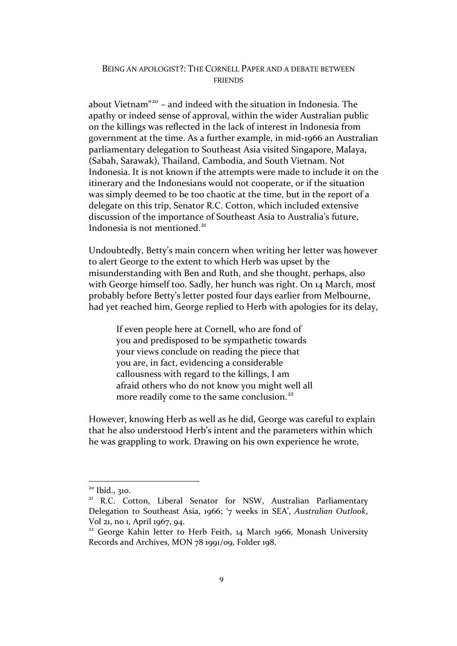about Vietnam"[20](#page-8-0) – and indeed with the situation in Indonesia. The apathy or indeed sense of approval, within the wider Australian public on the killings was reflected in the lack of interest in Indonesia from government at the time. As a further example, in mid‐1966 an Australian parliamentary delegation to Southeast Asia visited Singapore, Malaya, (Sabah, Sarawak), Thailand, Cambodia, and South Vietnam. Not Indonesia. It is not known if the attempts were made to include it on the itinerary and the Indonesians would not cooperate, or if the situation was simply deemed to be too chaotic at the time, but in the report of a delegate on this trip, Senator R.C. Cotton, which included extensive discussion of the importance of Southeast Asia to Australia's future, Indonesia is not mentioned. $21$ 

Undoubtedly, Betty's main concern when writing her letter was however to alert George to the extent to which Herb was upset by the misunderstanding with Ben and Ruth, and she thought, perhaps, also with George himself too. Sadly, her hunch was right. On 14 March, most probably before Betty's letter posted four days earlier from Melbourne, had yet reached him, George replied to Herb with apologies for its delay,

If even people here at Cornell, who are fond of you and predisposed to be sympathetic towards your views conclude on reading the piece that you are, in fact, evidencing a considerable callousness with regard to the killings, I am afraid others who do not know you might well all more readily come to the same conclusion.<sup>[22](#page-8-2)</sup>

However, knowing Herb as well as he did, George was careful to explain that he also understood Herb's intent and the parameters within which he was grappling to work. Drawing on his own experience he wrote,

<span id="page-8-0"></span><sup>&</sup>lt;sup>20</sup> Ibid., 310.

<span id="page-8-1"></span><sup>&</sup>lt;sup>21</sup> R.C. Cotton, Liberal Senator for NSW, Australian Parliamentary Delegation to Southeast Asia, 1966; '7 weeks in SEA', *Australian Outlook*, Vol 21, no 1, April 1967, 94.

<span id="page-8-2"></span><sup>&</sup>lt;sup>22</sup> George Kahin letter to Herb Feith, 14 March 1966, Monash University Records and Archives, MON 78 1991/09, Folder 198.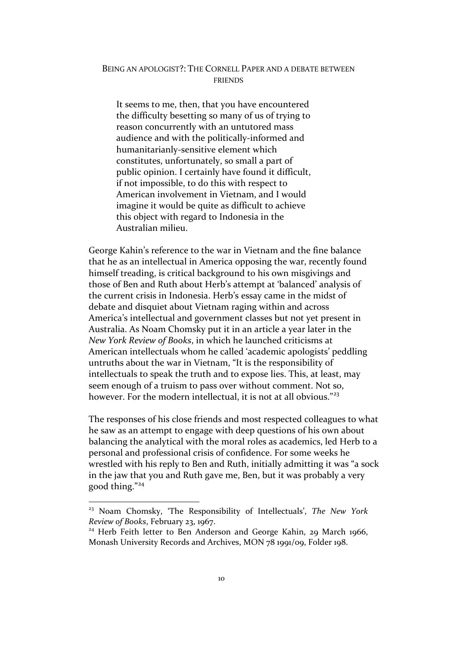It seems to me, then, that you have encountered the difficulty besetting so many of us of trying to reason concurrently with an untutored mass audience and with the politically‐informed and humanitarianly‐sensitive element which constitutes, unfortunately, so small a part of public opinion. I certainly have found it difficult, if not impossible, to do this with respect to American involvement in Vietnam, and I would imagine it would be quite as difficult to achieve this object with regard to Indonesia in the Australian milieu.

George Kahin's reference to the war in Vietnam and the fine balance that he as an intellectual in America opposing the war, recently found himself treading, is critical background to his own misgivings and those of Ben and Ruth about Herb's attempt at 'balanced' analysis of the current crisis in Indonesia. Herb's essay came in the midst of debate and disquiet about Vietnam raging within and across America's intellectual and government classes but not yet present in Australia. As Noam Chomsky put it in an article a year later in the *New York Review of Books*, in which he launched criticisms at American intellectuals whom he called 'academic apologists' peddling untruths about the war in Vietnam, "It is the responsibility of intellectuals to speak the truth and to expose lies. This, at least, may seem enough of a truism to pass over without comment. Not so, however. For the modern intellectual, it is not at all obvious."<sup>[23](#page-9-0)</sup>

The responses of his close friends and most respected colleagues to what he saw as an attempt to engage with deep questions of his own about balancing the analytical with the moral roles as academics, led Herb to a personal and professional crisis of confidence. For some weeks he wrestled with his reply to Ben and Ruth, initially admitting it was "a sock in the jaw that you and Ruth gave me, Ben, but it was probably a very good thing."[24](#page-9-1)

<span id="page-9-0"></span><sup>23</sup> Noam Chomsky, 'The Responsibility of Intellectuals', *The New York Review of Books*, February 23, 1967.

<span id="page-9-1"></span><sup>&</sup>lt;sup>24</sup> Herb Feith letter to Ben Anderson and George Kahin, 29 March 1966, Monash University Records and Archives, MON 78 1991/09, Folder 198.